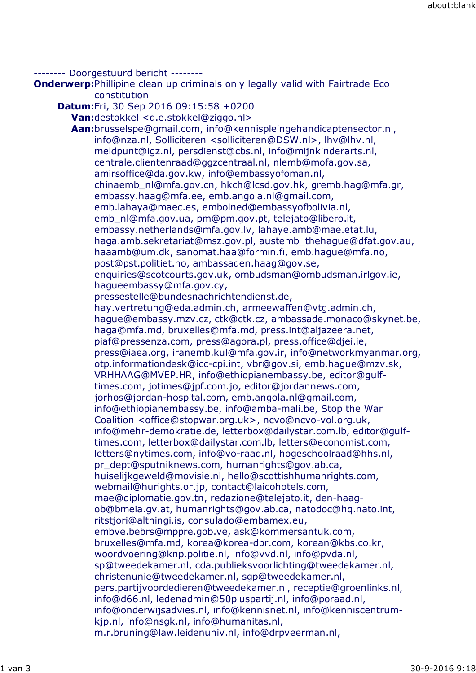-------- Doorgestuurd bericht --------

**Onderwerp:**Phillipine clean up criminals only legally valid with Fairtrade Eco constitution

**Datum:**Fri, 30 Sep 2016 09:15:58 +0200 **Van:**destokkel <d.e.stokkel@ziggo.nl> **Aan:**brusselspe@gmail.com, info@kennispleingehandicaptensector.nl, info@nza.nl, Solliciteren <solliciteren@DSW.nl>, lhv@lhv.nl, meldpunt@igz.nl, persdienst@cbs.nl, info@mijnkinderarts.nl, centrale.clientenraad@ggzcentraal.nl, nlemb@mofa.gov.sa, amirsoffice@da.gov.kw, info@embassyofoman.nl, chinaemb\_nl@mfa.gov.cn, hkch@lcsd.gov.hk, gremb.hag@mfa.gr, embassy.haag@mfa.ee, emb.angola.nl@gmail.com, emb.lahaya@maec.es, embolned@embassyofbolivia.nl, emb\_nl@mfa.gov.ua, pm@pm.gov.pt, telejato@libero.it, embassy.netherlands@mfa.gov.lv, lahaye.amb@mae.etat.lu, haga.amb.sekretariat@msz.gov.pl, austemb\_thehague@dfat.gov.au, haaamb@um.dk, sanomat.haa@formin.fi, emb.hague@mfa.no, post@pst.politiet.no, ambassaden.haag@gov.se, enquiries@scotcourts.gov.uk, ombudsman@ombudsman.irlgov.ie, hagueembassy@mfa.gov.cy, pressestelle@bundesnachrichtendienst.de, hay.vertretung@eda.admin.ch, armeewaffen@vtg.admin.ch, hague@embassy.mzv.cz, ctk@ctk.cz, ambassade.monaco@skynet.be, haga@mfa.md, bruxelles@mfa.md, press.int@aljazeera.net, piaf@pressenza.com, press@agora.pl, press.office@djei.ie, press@iaea.org, iranemb.kul@mfa.gov.ir, info@networkmyanmar.org, otp.informationdesk@icc-cpi.int, vbr@gov.si, emb.hague@mzv.sk, VRHHAAG@MVEP.HR, info@ethiopianembassy.be, editor@gulftimes.com, jotimes@jpf.com.jo, editor@jordannews.com, jorhos@jordan-hospital.com, emb.angola.nl@gmail.com, info@ethiopianembassy.be, info@amba-mali.be, Stop the War Coalition <office@stopwar.org.uk>, ncvo@ncvo-vol.org.uk, info@mehr-demokratie.de, letterbox@dailystar.com.lb, editor@gulftimes.com, letterbox@dailystar.com.lb, letters@economist.com, letters@nytimes.com, info@vo-raad.nl, hogeschoolraad@hhs.nl, pr\_dept@sputniknews.com, humanrights@gov.ab.ca, huiselijkgeweld@movisie.nl, hello@scottishhumanrights.com, webmail@hurights.or.jp, contact@laicohotels.com, mae@diplomatie.gov.tn, redazione@telejato.it, den-haagob@bmeia.gv.at, humanrights@gov.ab.ca, natodoc@hq.nato.int, ritstjori@althingi.is, consulado@embamex.eu, embve.bebrs@mppre.gob.ve, ask@kommersantuk.com, bruxelles@mfa.md, korea@korea-dpr.com, korean@kbs.co.kr, woordvoering@knp.politie.nl, info@vvd.nl, info@pvda.nl, sp@tweedekamer.nl, cda.publieksvoorlichting@tweedekamer.nl, christenunie@tweedekamer.nl, sgp@tweedekamer.nl, pers.partijvoordedieren@tweedekamer.nl, receptie@groenlinks.nl, info@d66.nl, ledenadmin@50pluspartij.nl, info@poraad.nl, info@onderwijsadvies.nl, info@kennisnet.nl, info@kenniscentrumkjp.nl, info@nsgk.nl, info@humanitas.nl,

m.r.bruning@law.leidenuniv.nl, info@drpveerman.nl,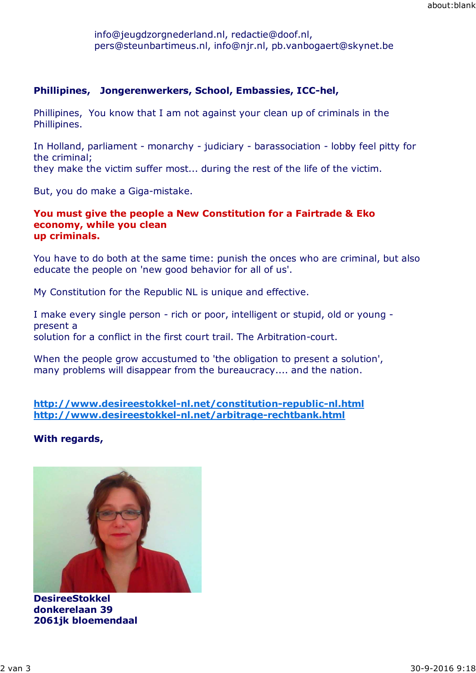info@jeugdzorgnederland.nl, redactie@doof.nl, pers@steunbartimeus.nl, info@njr.nl, pb.vanbogaert@skynet.be

## **Phillipines, Jongerenwerkers, School, Embassies, ICC-hel,**

Phillipines, You know that I am not against your clean up of criminals in the Phillipines.

In Holland, parliament - monarchy - judiciary - barassociation - lobby feel pitty for the criminal; they make the victim suffer most... during the rest of the life of the victim.

But, you do make a Giga-mistake.

## **You must give the people a New Constitution for a Fairtrade & Eko economy, while you clean up criminals.**

You have to do both at the same time: punish the onces who are criminal, but also educate the people on 'new good behavior for all of us'.

My Constitution for the Republic NL is unique and effective.

I make every single person - rich or poor, intelligent or stupid, old or young present a solution for a conflict in the first court trail. The Arbitration-court.

When the people grow accustumed to 'the obligation to present a solution', many problems will disappear from the bureaucracy.... and the nation.

**http://www.desireestokkel-nl.net/constitution-republic-nl.html http://www.desireestokkel-nl.net/arbitrage-rechtbank.html**

**With regards,**



**DesireeStokkel donkerelaan 39 2061jk bloemendaal**